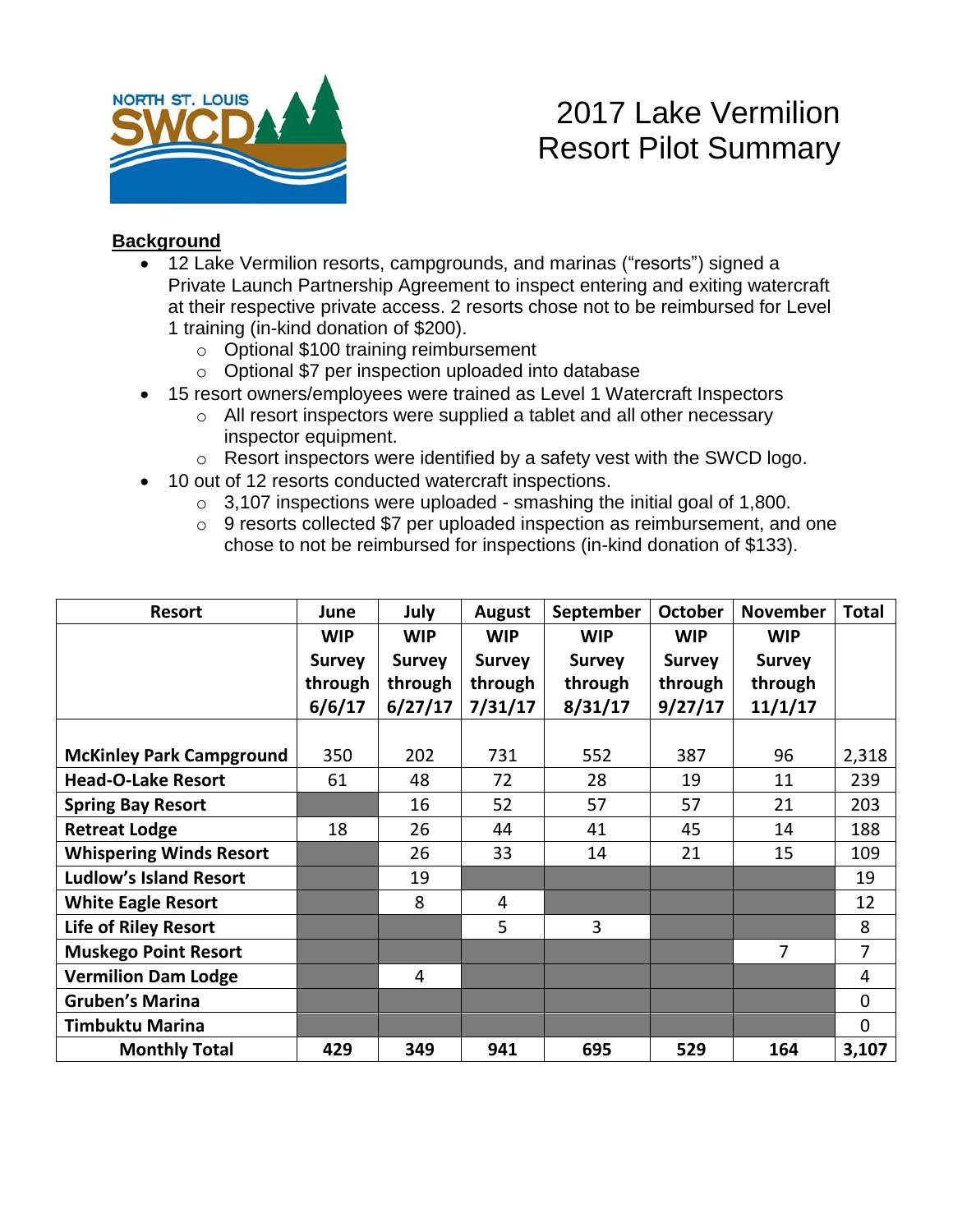

# 2017 Lake Vermilion Resort Pilot Summary

#### **Background**

- 12 Lake Vermilion resorts, campgrounds, and marinas ("resorts") signed a Private Launch Partnership Agreement to inspect entering and exiting watercraft at their respective private access. 2 resorts chose not to be reimbursed for Level 1 training (in-kind donation of \$200).
	- o Optional \$100 training reimbursement
	- o Optional \$7 per inspection uploaded into database
- 15 resort owners/employees were trained as Level 1 Watercraft Inspectors
	- o All resort inspectors were supplied a tablet and all other necessary inspector equipment.
	- o Resort inspectors were identified by a safety vest with the SWCD logo.
- 10 out of 12 resorts conducted watercraft inspections.
	- $\circ$  3,107 inspections were uploaded smashing the initial goal of 1,800.
	- o 9 resorts collected \$7 per uploaded inspection as reimbursement, and one chose to not be reimbursed for inspections (in-kind donation of \$133).

| <b>Resort</b>                   | June          | July          | <b>August</b> | September     | <b>October</b> | <b>November</b> | <b>Total</b>   |
|---------------------------------|---------------|---------------|---------------|---------------|----------------|-----------------|----------------|
|                                 | <b>WIP</b>    | <b>WIP</b>    | <b>WIP</b>    | <b>WIP</b>    | <b>WIP</b>     | <b>WIP</b>      |                |
|                                 | <b>Survey</b> | <b>Survey</b> | <b>Survey</b> | <b>Survey</b> | <b>Survey</b>  | <b>Survey</b>   |                |
|                                 | through       | through       | through       | through       | through        | through         |                |
|                                 | 6/6/17        | 6/27/17       | 7/31/17       | 8/31/17       | 9/27/17        | 11/1/17         |                |
|                                 |               |               |               |               |                |                 |                |
| <b>McKinley Park Campground</b> | 350           | 202           | 731           | 552           | 387            | 96              | 2,318          |
| <b>Head-O-Lake Resort</b>       | 61            | 48            | 72            | 28            | 19             | 11              | 239            |
| <b>Spring Bay Resort</b>        |               | 16            | 52            | 57            | 57             | 21              | 203            |
| <b>Retreat Lodge</b>            | 18            | 26            | 44            | 41            | 45             | 14              | 188            |
| <b>Whispering Winds Resort</b>  |               | 26            | 33            | 14            | 21             | 15              | 109            |
| <b>Ludlow's Island Resort</b>   |               | 19            |               |               |                |                 | 19             |
| <b>White Eagle Resort</b>       |               | 8             | 4             |               |                |                 | 12             |
| <b>Life of Riley Resort</b>     |               |               | 5             | 3             |                |                 | 8              |
| <b>Muskego Point Resort</b>     |               |               |               |               |                | $\overline{7}$  | $\overline{7}$ |
| <b>Vermilion Dam Lodge</b>      |               | 4             |               |               |                |                 | 4              |
| <b>Gruben's Marina</b>          |               |               |               |               |                |                 | $\mathbf 0$    |
| <b>Timbuktu Marina</b>          |               |               |               |               |                |                 | $\mathbf{0}$   |
| <b>Monthly Total</b>            | 429           | 349           | 941           | 695           | 529            | 164             | 3,107          |